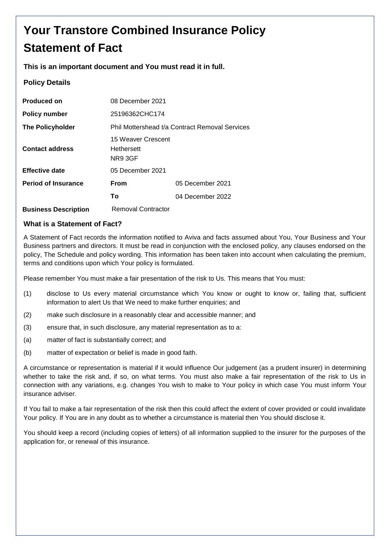# **Your Transtore Combined Insurance Policy Statement of Fact**

### **This is an important document and You must read it in full.**

### **Policy Details**

| <b>Produced on</b>          | 08 December 2021                                   |                  |
|-----------------------------|----------------------------------------------------|------------------|
| <b>Policy number</b>        | 25196362CHC174                                     |                  |
| <b>The Policyholder</b>     | Phil Mottershead t/a Contract Removal Services     |                  |
| <b>Contact address</b>      | 15 Weaver Crescent<br><b>Hethersett</b><br>NR9 3GF |                  |
| <b>Effective date</b>       | 05 December 2021                                   |                  |
| <b>Period of Insurance</b>  | <b>From</b>                                        | 05 December 2021 |
|                             | Т٥                                                 | 04 December 2022 |
| <b>Business Description</b> | Removal Contractor                                 |                  |

### **What is a Statement of Fact?**

A Statement of Fact records the information notified to Aviva and facts assumed about You, Your Business and Your Business partners and directors. It must be read in conjunction with the enclosed policy, any clauses endorsed on the policy, The Schedule and policy wording. This information has been taken into account when calculating the premium, terms and conditions upon which Your policy is formulated.

Please remember You must make a fair presentation of the risk to Us. This means that You must:

- (1) disclose to Us every material circumstance which You know or ought to know or, failing that, sufficient information to alert Us that We need to make further enquiries; and
- (2) make such disclosure in a reasonably clear and accessible manner; and
- (3) ensure that, in such disclosure, any material representation as to a:
- (a) matter of fact is substantially correct; and
- (b) matter of expectation or belief is made in good faith.

A circumstance or representation is material if it would influence Our judgement (as a prudent insurer) in determining whether to take the risk and, if so, on what terms. You must also make a fair representation of the risk to Us in connection with any variations, e.g. changes You wish to make to Your policy in which case You must inform Your insurance adviser.

If You fail to make a fair representation of the risk then this could affect the extent of cover provided or could invalidate Your policy. If You are in any doubt as to whether a circumstance is material then You should disclose it.

You should keep a record (including copies of letters) of all information supplied to the insurer for the purposes of the application for, or renewal of this insurance.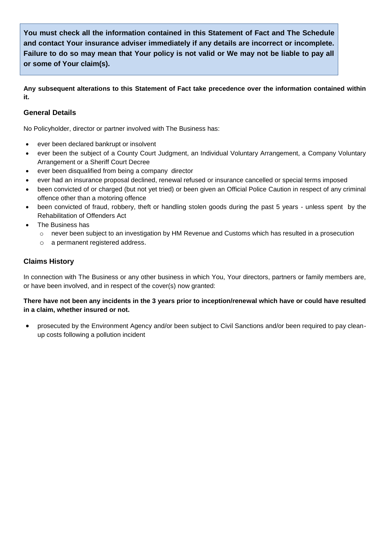**You must check all the information contained in this Statement of Fact and The Schedule and contact Your insurance adviser immediately if any details are incorrect or incomplete. Failure to do so may mean that Your policy is not valid or We may not be liable to pay all or some of Your claim(s).**

**Any subsequent alterations to this Statement of Fact take precedence over the information contained within it.**

### **General Details**

No Policyholder, director or partner involved with The Business has:

- ever been declared bankrupt or insolvent
- ever been the subject of a County Court Judgment, an Individual Voluntary Arrangement, a Company Voluntary Arrangement or a Sheriff Court Decree
- ever been disqualified from being a company director
- ever had an insurance proposal declined, renewal refused or insurance cancelled or special terms imposed
- been convicted of or charged (but not yet tried) or been given an Official Police Caution in respect of any criminal offence other than a motoring offence
- been convicted of fraud, robbery, theft or handling stolen goods during the past 5 years unless spent by the Rehabilitation of Offenders Act
- The Business has
	- $\circ$  never been subject to an investigation by HM Revenue and Customs which has resulted in a prosecution
	- o a permanent registered address.

### **Claims History**

In connection with The Business or any other business in which You, Your directors, partners or family members are, or have been involved, and in respect of the cover(s) now granted:

### **There have not been any incidents in the 3 years prior to inception/renewal which have or could have resulted in a claim, whether insured or not.**

 prosecuted by the Environment Agency and/or been subject to Civil Sanctions and/or been required to pay cleanup costs following a pollution incident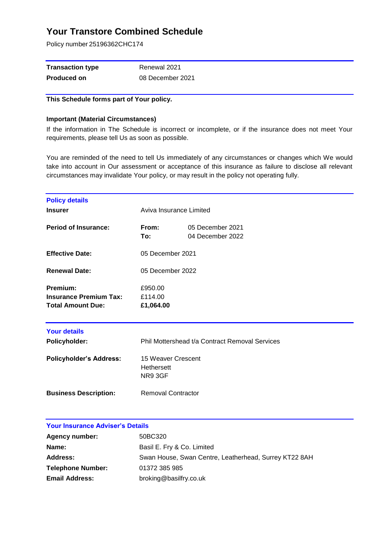Policy number 25196362CHC174

| <b>Transaction type</b> | Renewal 2021     |
|-------------------------|------------------|
| <b>Produced on</b>      | 08 December 2021 |

### **This Schedule forms part of Your policy.**

#### **Important (Material Circumstances)**

If the information in The Schedule is incorrect or incomplete, or if the insurance does not meet Your requirements, please tell Us as soon as possible.

You are reminded of the need to tell Us immediately of any circumstances or changes which We would take into account in Our assessment or acceptance of this insurance as failure to disclose all relevant circumstances may invalidate Your policy, or may result in the policy not operating fully.

| <b>Policy details</b><br><b>Insurer</b>                               | Aviva Insurance Limited                     |                                                |
|-----------------------------------------------------------------------|---------------------------------------------|------------------------------------------------|
| <b>Period of Insurance:</b>                                           | From:<br>To:                                | 05 December 2021<br>04 December 2022           |
| <b>Effective Date:</b>                                                | 05 December 2021                            |                                                |
| <b>Renewal Date:</b>                                                  | 05 December 2022                            |                                                |
| Premium:<br><b>Insurance Premium Tax:</b><br><b>Total Amount Due:</b> | £950.00<br>£114.00<br>£1,064.00             |                                                |
| <b>Your details</b>                                                   |                                             |                                                |
| <b>Policyholder:</b>                                                  |                                             | Phil Mottershead t/a Contract Removal Services |
| <b>Policyholder's Address:</b>                                        | 15 Weaver Crescent<br>Hethersett<br>NR9 3GF |                                                |
| <b>Business Description:</b>                                          | <b>Removal Contractor</b>                   |                                                |

| <b>Agency number:</b>    | 50BC320                                               |
|--------------------------|-------------------------------------------------------|
| Name:                    | Basil E. Fry & Co. Limited                            |
| <b>Address:</b>          | Swan House, Swan Centre, Leatherhead, Surrey KT22 8AH |
| <b>Telephone Number:</b> | 01372 385 985                                         |
| <b>Email Address:</b>    | broking@basilfry.co.uk                                |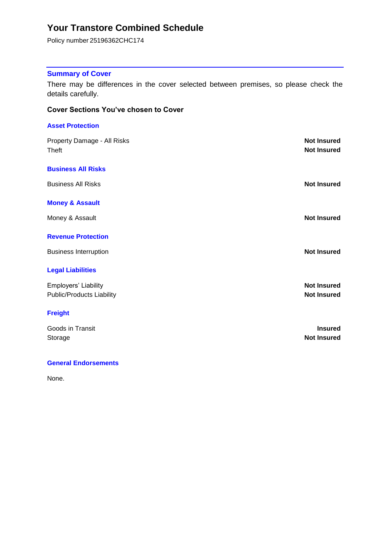Policy number 25196362CHC174

### **Summary of Cover**

There may be differences in the cover selected between premises, so please check the details carefully.

### **Cover Sections You've chosen to Cover**

| <b>Asset Protection</b>                     |                                          |
|---------------------------------------------|------------------------------------------|
| Property Damage - All Risks<br><b>Theft</b> | <b>Not Insured</b><br><b>Not Insured</b> |
| <b>Business All Risks</b>                   |                                          |
| <b>Business All Risks</b>                   | <b>Not Insured</b>                       |
| <b>Money &amp; Assault</b>                  |                                          |
| Money & Assault                             | <b>Not Insured</b>                       |
| <b>Revenue Protection</b>                   |                                          |
| <b>Business Interruption</b>                | <b>Not Insured</b>                       |
| <b>Legal Liabilities</b>                    |                                          |
| Employers' Liability                        | <b>Not Insured</b>                       |
| <b>Public/Products Liability</b>            | <b>Not Insured</b>                       |
| <b>Freight</b>                              |                                          |
| Goods in Transit                            | <b>Insured</b>                           |
| Storage                                     | <b>Not Insured</b>                       |
|                                             |                                          |

### **General Endorsements**

None.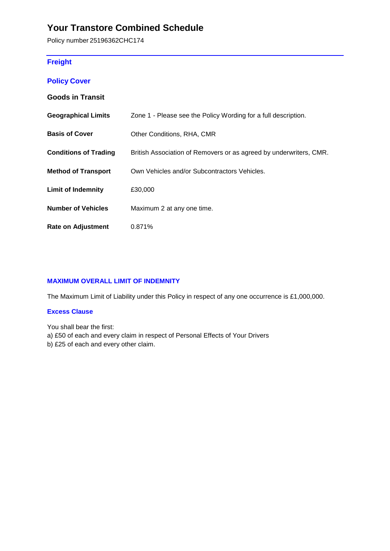Policy number 25196362CHC174

### **Freight**

|  | <b>Policy Cover</b> |
|--|---------------------|
|  |                     |

### **Goods in Transit**

| <b>Geographical Limits</b>   | Zone 1 - Please see the Policy Wording for a full description.     |
|------------------------------|--------------------------------------------------------------------|
| <b>Basis of Cover</b>        | Other Conditions, RHA, CMR                                         |
| <b>Conditions of Trading</b> | British Association of Removers or as agreed by underwriters, CMR. |
| <b>Method of Transport</b>   | Own Vehicles and/or Subcontractors Vehicles.                       |
| <b>Limit of Indemnity</b>    | £30,000                                                            |
| <b>Number of Vehicles</b>    | Maximum 2 at any one time.                                         |
| <b>Rate on Adjustment</b>    | 0.871%                                                             |

### **MAXIMUM OVERALL LIMIT OF INDEMNITY**

The Maximum Limit of Liability under this Policy in respect of any one occurrence is £1,000,000.

### **Excess Clause**

You shall bear the first:

a) £50 of each and every claim in respect of Personal Effects of Your Drivers

b) £25 of each and every other claim.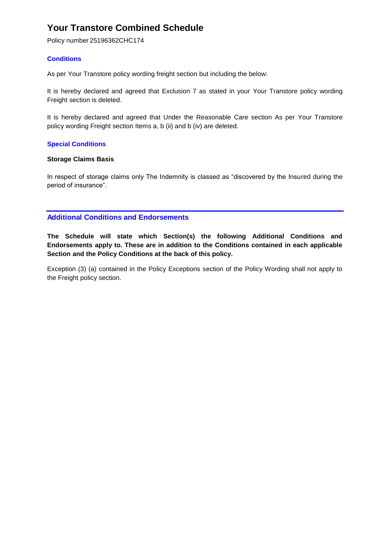Policy number 25196362CHC174

### **Conditions**

As per Your Transtore policy wording freight section but including the below:

It is hereby declared and agreed that Exclusion 7 as stated in your Your Transtore policy wording Freight section is deleted.

It is hereby declared and agreed that Under the Reasonable Care section As per Your Transtore policy wording Freight section Items a, b (ii) and b (iv) are deleted.

### **Special Conditions**

### **Storage Claims Basis**

In respect of storage claims only The Indemnity is classed as "discovered by the Insured during the period of insurance".

### **Additional Conditions and Endorsements**

**The Schedule will state which Section(s) the following Additional Conditions and Endorsements apply to. These are in addition to the Conditions contained in each applicable Section and the Policy Conditions at the back of this policy.**

Exception (3) (a) contained in the Policy Exceptions section of the Policy Wording shall not apply to the Freight policy section.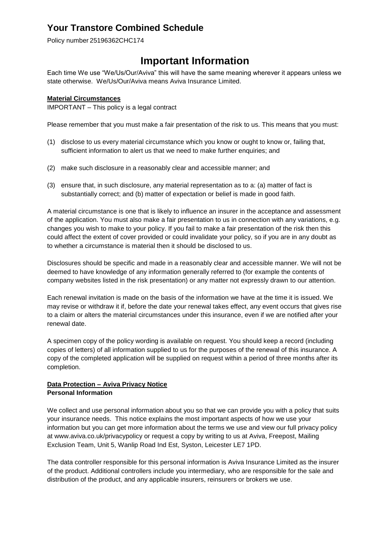Policy number 25196362CHC174

## **Important Information**

Each time We use "We/Us/Our/Aviva" this will have the same meaning wherever it appears unless we state otherwise. We/Us/Our/Aviva means Aviva Insurance Limited.

### **Material Circumstances**

IMPORTANT – This policy is a legal contract

Please remember that you must make a fair presentation of the risk to us. This means that you must:

- (1) disclose to us every material circumstance which you know or ought to know or, failing that, sufficient information to alert us that we need to make further enquiries; and
- (2) make such disclosure in a reasonably clear and accessible manner; and
- (3) ensure that, in such disclosure, any material representation as to a: (a) matter of fact is substantially correct; and (b) matter of expectation or belief is made in good faith.

A material circumstance is one that is likely to influence an insurer in the acceptance and assessment of the application. You must also make a fair presentation to us in connection with any variations, e.g. changes you wish to make to your policy. If you fail to make a fair presentation of the risk then this could affect the extent of cover provided or could invalidate your policy, so if you are in any doubt as to whether a circumstance is material then it should be disclosed to us.

Disclosures should be specific and made in a reasonably clear and accessible manner. We will not be deemed to have knowledge of any information generally referred to (for example the contents of company websites listed in the risk presentation) or any matter not expressly drawn to our attention.

Each renewal invitation is made on the basis of the information we have at the time it is issued. We may revise or withdraw it if, before the date your renewal takes effect, any event occurs that gives rise to a claim or alters the material circumstances under this insurance, even if we are notified after your renewal date.

A specimen copy of the policy wording is available on request. You should keep a record (including copies of letters) of all information supplied to us for the purposes of the renewal of this insurance. A copy of the completed application will be supplied on request within a period of three months after its completion.

### **Data Protection – Aviva Privacy Notice Personal Information**

We collect and use personal information about you so that we can provide you with a policy that suits your insurance needs. This notice explains the most important aspects of how we use your information but you can get more information about the terms we use and view our full privacy policy at www.aviva.co.uk/privacypolicy or request a copy by writing to us at Aviva, Freepost, Mailing Exclusion Team, Unit 5, Wanlip Road Ind Est, Syston, Leicester LE7 1PD.

The data controller responsible for this personal information is Aviva Insurance Limited as the insurer of the product. Additional controllers include you intermediary, who are responsible for the sale and distribution of the product, and any applicable insurers, reinsurers or brokers we use.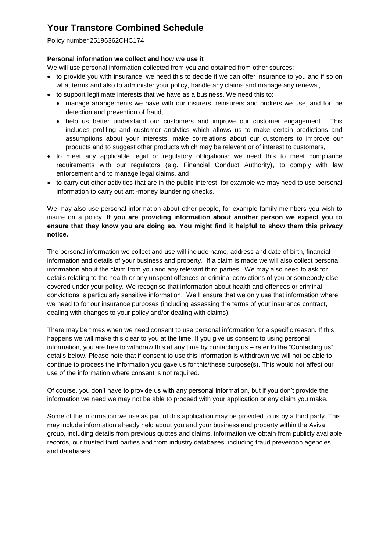Policy number 25196362CHC174

### **Personal information we collect and how we use it**

We will use personal information collected from you and obtained from other sources:

- to provide you with insurance: we need this to decide if we can offer insurance to you and if so on what terms and also to administer your policy, handle any claims and manage any renewal,
- to support legitimate interests that we have as a business. We need this to:
	- manage arrangements we have with our insurers, reinsurers and brokers we use, and for the detection and prevention of fraud,
	- help us better understand our customers and improve our customer engagement. This includes profiling and customer analytics which allows us to make certain predictions and assumptions about your interests, make correlations about our customers to improve our products and to suggest other products which may be relevant or of interest to customers,
- to meet any applicable legal or regulatory obligations: we need this to meet compliance requirements with our regulators (e.g. Financial Conduct Authority), to comply with law enforcement and to manage legal claims, and
- to carry out other activities that are in the public interest: for example we may need to use personal information to carry out anti-money laundering checks.

We may also use personal information about other people, for example family members you wish to insure on a policy. **If you are providing information about another person we expect you to ensure that they know you are doing so. You might find it helpful to show them this privacy notice.**

The personal information we collect and use will include name, address and date of birth, financial information and details of your business and property. If a claim is made we will also collect personal information about the claim from you and any relevant third parties. We may also need to ask for details relating to the health or any unspent offences or criminal convictions of you or somebody else covered under your policy. We recognise that information about health and offences or criminal convictions is particularly sensitive information. We'll ensure that we only use that information where we need to for our insurance purposes (including assessing the terms of your insurance contract, dealing with changes to your policy and/or dealing with claims).

There may be times when we need consent to use personal information for a specific reason. If this happens we will make this clear to you at the time. If you give us consent to using personal information, you are free to withdraw this at any time by contacting us – refer to the "Contacting us" details below. Please note that if consent to use this information is withdrawn we will not be able to continue to process the information you gave us for this/these purpose(s). This would not affect our use of the information where consent is not required.

Of course, you don't have to provide us with any personal information, but if you don't provide the information we need we may not be able to proceed with your application or any claim you make.

Some of the information we use as part of this application may be provided to us by a third party. This may include information already held about you and your business and property within the Aviva group, including details from previous quotes and claims, information we obtain from publicly available records, our trusted third parties and from industry databases, including fraud prevention agencies and databases.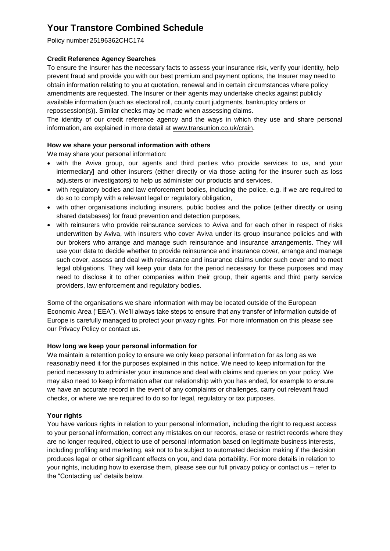Policy number 25196362CHC174

### **Credit Reference Agency Searches**

To ensure the Insurer has the necessary facts to assess your insurance risk, verify your identity, help prevent fraud and provide you with our best premium and payment options, the Insurer may need to obtain information relating to you at quotation, renewal and in certain circumstances where policy amendments are requested. The Insurer or their agents may undertake checks against publicly available information (such as electoral roll, county court judgments, bankruptcy orders or repossession(s)). Similar checks may be made when assessing claims.

The identity of our credit reference agency and the ways in which they use and share personal information, are explained in more detail at [www.transunion.co.uk/crain.](http://www.transunion.co.uk/crain)

### **How we share your personal information with others**

We may share your personal information:

- with the Aviva group, our agents and third parties who provide services to us, and your intermediary**]** and other insurers (either directly or via those acting for the insurer such as loss adjusters or investigators) to help us administer our products and services,
- with regulatory bodies and law enforcement bodies, including the police, e.g. if we are required to do so to comply with a relevant legal or regulatory obligation,
- with other organisations including insurers, public bodies and the police (either directly or using shared databases) for fraud prevention and detection purposes,
- with reinsurers who provide reinsurance services to Aviva and for each other in respect of risks underwritten by Aviva, with insurers who cover Aviva under its group insurance policies and with our brokers who arrange and manage such reinsurance and insurance arrangements. They will use your data to decide whether to provide reinsurance and insurance cover, arrange and manage such cover, assess and deal with reinsurance and insurance claims under such cover and to meet legal obligations. They will keep your data for the period necessary for these purposes and may need to disclose it to other companies within their group, their agents and third party service providers, law enforcement and regulatory bodies.

Some of the organisations we share information with may be located outside of the European Economic Area ("EEA"). We'll always take steps to ensure that any transfer of information outside of Europe is carefully managed to protect your privacy rights. For more information on this please see our Privacy Policy or contact us.

### **How long we keep your personal information for**

We maintain a retention policy to ensure we only keep personal information for as long as we reasonably need it for the purposes explained in this notice. We need to keep information for the period necessary to administer your insurance and deal with claims and queries on your policy. We may also need to keep information after our relationship with you has ended, for example to ensure we have an accurate record in the event of any complaints or challenges, carry out relevant fraud checks, or where we are required to do so for legal, regulatory or tax purposes.

### **Your rights**

You have various rights in relation to your personal information, including the right to request access to your personal information, correct any mistakes on our records, erase or restrict records where they are no longer required, object to use of personal information based on legitimate business interests, including profiling and marketing, ask not to be subject to automated decision making if the decision produces legal or other significant effects on you, and data portability. For more details in relation to your rights, including how to exercise them, please see our full privacy policy or contact us – refer to the "Contacting us" details below.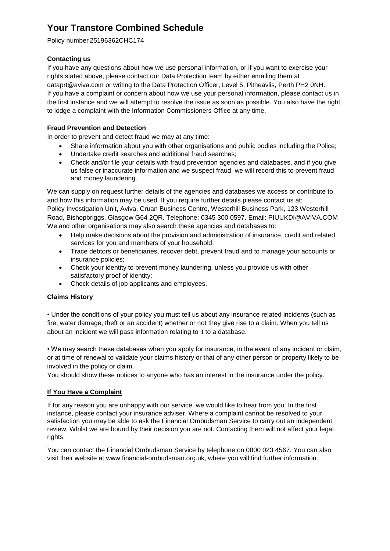Policy number 25196362CHC174

### **Contacting us**

If you have any questions about how we use personal information, or if you want to exercise your rights stated above, please contact our Data Protection team by either emailing them at dataprt@aviva.com or writing to the Data Protection Officer, Level 5, Pitheavlis, Perth PH2 0NH. If you have a complaint or concern about how we use your personal information, please contact us in the first instance and we will attempt to resolve the issue as soon as possible. You also have the right to lodge a complaint with the Information Commissioners Office at any time.

### **Fraud Prevention and Detection**

In order to prevent and detect fraud we may at any time:

- Share information about you with other organisations and public bodies including the Police;
- Undertake credit searches and additional fraud searches;
- Check and/or file your details with fraud prevention agencies and databases, and if you give us false or inaccurate information and we suspect fraud, we will record this to prevent fraud and money laundering.

We can supply on request further details of the agencies and databases we access or contribute to and how this information may be used. If you require further details please contact us at: Policy Investigation Unit, Aviva, Cruan Business Centre, Westerhill Business Park, 123 Westerhill Road, Bishopbriggs, Glasgow G64 2QR. Telephone: 0345 300 0597. Email: PIUUKDI@AVIVA.COM We and other organisations may also search these agencies and databases to:

- Help make decisions about the provision and administration of insurance, credit and related services for you and members of your household;
- Trace debtors or beneficiaries, recover debt, prevent fraud and to manage your accounts or insurance policies;
- Check your identity to prevent money laundering, unless you provide us with other satisfactory proof of identity;
- Check details of job applicants and employees.

### **Claims History**

• Under the conditions of your policy you must tell us about any insurance related incidents (such as fire, water damage, theft or an accident) whether or not they give rise to a claim. When you tell us about an incident we will pass information relating to it to a database.

• We may search these databases when you apply for insurance, in the event of any incident or claim, or at time of renewal to validate your claims history or that of any other person or property likely to be involved in the policy or claim.

You should show these notices to anyone who has an interest in the insurance under the policy.

### **If You Have a Complaint**

If for any reason you are unhappy with our service, we would like to hear from you. In the first instance, please contact your insurance adviser. Where a complaint cannot be resolved to your satisfaction you may be able to ask the Financial Ombudsman Service to carry out an independent review. Whilst we are bound by their decision you are not. Contacting them will not affect your legal rights.

You can contact the Financial Ombudsman Service by telephone on 0800 023 4567. You can also visit their website at www.financial-ombudsman.org.uk, where you will find further information.